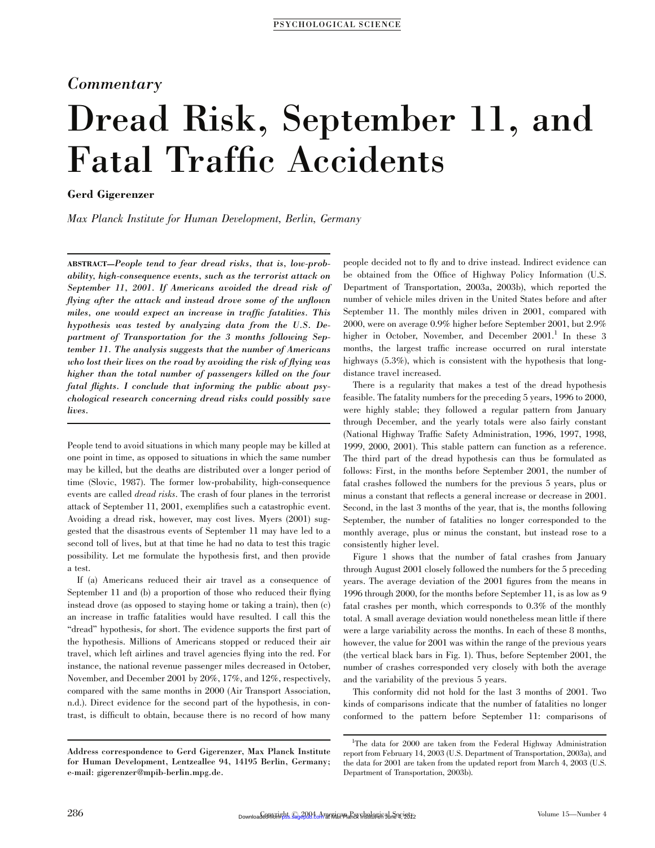## Commentary

# Dread Risk, September 11, and Fatal Traffic Accidents

## Gerd Gigerenzer

Max Planck Institute for Human Development, Berlin, Germany

ABSTRACT—People tend to fear dread risks, that is, low-probability, high-consequence events, such as the terrorist attack on September 11, 2001. If Americans avoided the dread risk of flying after the attack and instead drove some of the unflown miles, one would expect an increase in traffic fatalities. This hypothesis was tested by analyzing data from the U.S. Department of Transportation for the 3 months following September 11. The analysis suggests that the number of Americans who lost their lives on the road by avoiding the risk of flying was higher than the total number of passengers killed on the four fatal flights. I conclude that informing the public about psychological research concerning dread risks could possibly save lives.

People tend to avoid situations in which many people may be killed at one point in time, as opposed to situations in which the same number may be killed, but the deaths are distributed over a longer period of time (Slovic, 1987). The former low-probability, high-consequence events are called dread risks. The crash of four planes in the terrorist attack of September 11, 2001, exemplifies such a catastrophic event. Avoiding a dread risk, however, may cost lives. Myers (2001) suggested that the disastrous events of September 11 may have led to a second toll of lives, but at that time he had no data to test this tragic possibility. Let me formulate the hypothesis first, and then provide a test.

If (a) Americans reduced their air travel as a consequence of September 11 and (b) a proportion of those who reduced their flying instead drove (as opposed to staying home or taking a train), then (c) an increase in traffic fatalities would have resulted. I call this the ''dread'' hypothesis, for short. The evidence supports the first part of the hypothesis. Millions of Americans stopped or reduced their air travel, which left airlines and travel agencies flying into the red. For instance, the national revenue passenger miles decreased in October, November, and December 2001 by 20%, 17%, and 12%, respectively, compared with the same months in 2000 (Air Transport Association, n.d.). Direct evidence for the second part of the hypothesis, in contrast, is difficult to obtain, because there is no record of how many

people decided not to fly and to drive instead. Indirect evidence can be obtained from the Office of Highway Policy Information (U.S. Department of Transportation, 2003a, 2003b), which reported the number of vehicle miles driven in the United States before and after September 11. The monthly miles driven in 2001, compared with 2000, were on average 0.9% higher before September 2001, but 2.9% higher in October, November, and December  $2001$ .<sup>1</sup> In these 3 months, the largest traffic increase occurred on rural interstate highways (5.3%), which is consistent with the hypothesis that longdistance travel increased.

There is a regularity that makes a test of the dread hypothesis feasible. The fatality numbers for the preceding 5 years, 1996 to 2000, were highly stable; they followed a regular pattern from January through December, and the yearly totals were also fairly constant (National Highway Traffic Safety Administration, 1996, 1997, 1998, 1999, 2000, 2001). This stable pattern can function as a reference. The third part of the dread hypothesis can thus be formulated as follows: First, in the months before September 2001, the number of fatal crashes followed the numbers for the previous 5 years, plus or minus a constant that reflects a general increase or decrease in 2001. Second, in the last 3 months of the year, that is, the months following September, the number of fatalities no longer corresponded to the monthly average, plus or minus the constant, but instead rose to a consistently higher level.

Figure 1 shows that the number of fatal crashes from January through August 2001 closely followed the numbers for the 5 preceding years. The average deviation of the 2001 figures from the means in 1996 through 2000, for the months before September 11, is as low as 9 fatal crashes per month, which corresponds to 0.3% of the monthly total. A small average deviation would nonetheless mean little if there were a large variability across the months. In each of these 8 months, however, the value for 2001 was within the range of the previous years (the vertical black bars in Fig. 1). Thus, before September 2001, the number of crashes corresponded very closely with both the average and the variability of the previous 5 years.

This conformity did not hold for the last 3 months of 2001. Two kinds of comparisons indicate that the number of fatalities no longer conformed to the pattern before September 11: comparisons of

Address correspondence to Gerd Gigerenzer, Max Planck Institute for Human Development, Lentzeallee 94, 14195 Berlin, Germany; e-mail: gigerenzer@mpib-berlin.mpg.de.

<sup>&</sup>lt;sup>1</sup>The data for 2000 are taken from the Federal Highway Administration report from February 14, 2003 (U.S. Department of Transportation, 2003a), and the data for 2001 are taken from the updated report from March 4, 2003 (U.S. Department of Transportation, 2003b).